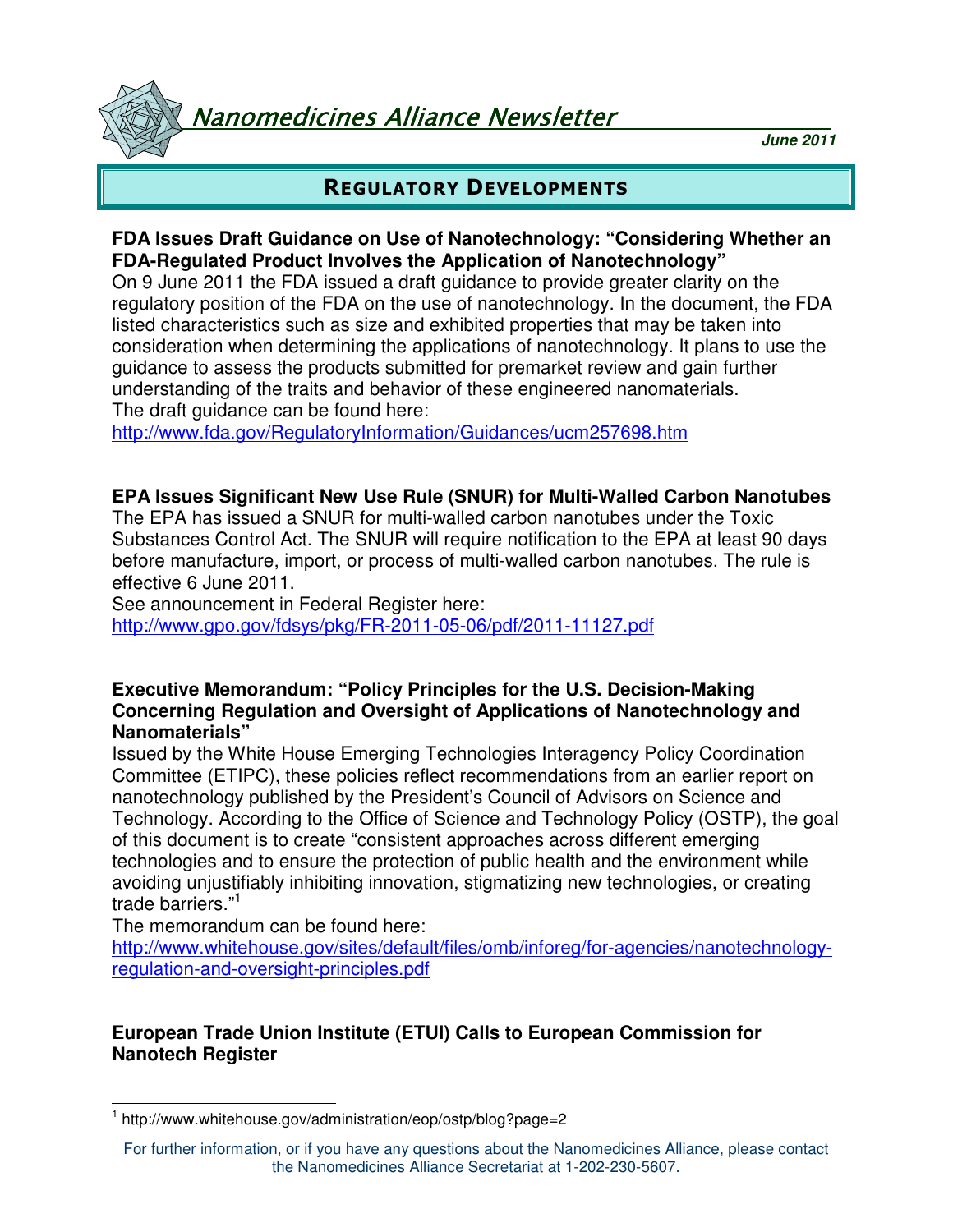Vanomedicines Alliance Newsletter

**June 2011**

# REGULATORY DEVELOPMENTS

### **FDA Issues Draft Guidance on Use of Nanotechnology: "Considering Whether an FDA-Regulated Product Involves the Application of Nanotechnology"**

On 9 June 2011 the FDA issued a draft guidance to provide greater clarity on the regulatory position of the FDA on the use of nanotechnology. In the document, the FDA listed characteristics such as size and exhibited properties that may be taken into consideration when determining the applications of nanotechnology. It plans to use the guidance to assess the products submitted for premarket review and gain further understanding of the traits and behavior of these engineered nanomaterials. The draft guidance can be found here:

http://www.fda.gov/RegulatoryInformation/Guidances/ucm257698.htm

#### **EPA Issues Significant New Use Rule (SNUR) for Multi-Walled Carbon Nanotubes**

The EPA has issued a SNUR for multi-walled carbon nanotubes under the Toxic Substances Control Act. The SNUR will require notification to the EPA at least 90 days before manufacture, import, or process of multi-walled carbon nanotubes. The rule is effective 6 June 2011.

See announcement in Federal Register here:

http://www.gpo.gov/fdsys/pkg/FR-2011-05-06/pdf/2011-11127.pdf

#### **Executive Memorandum: "Policy Principles for the U.S. Decision-Making Concerning Regulation and Oversight of Applications of Nanotechnology and Nanomaterials"**

Issued by the White House Emerging Technologies Interagency Policy Coordination Committee (ETIPC), these policies reflect recommendations from an earlier report on nanotechnology published by the President's Council of Advisors on Science and Technology. According to the Office of Science and Technology Policy (OSTP), the goal of this document is to create "consistent approaches across different emerging technologies and to ensure the protection of public health and the environment while avoiding unjustifiably inhibiting innovation, stigmatizing new technologies, or creating trade barriers."<sup>1</sup>

The memorandum can be found here:

http://www.whitehouse.gov/sites/default/files/omb/inforeg/for-agencies/nanotechnologyregulation-and-oversight-principles.pdf

# **European Trade Union Institute (ETUI) Calls to European Commission for Nanotech Register**

 $\overline{a}$ 1 http://www.whitehouse.gov/administration/eop/ostp/blog?page=2

For further information, or if you have any questions about the Nanomedicines Alliance, please contact the Nanomedicines Alliance Secretariat at 1-202-230-5607.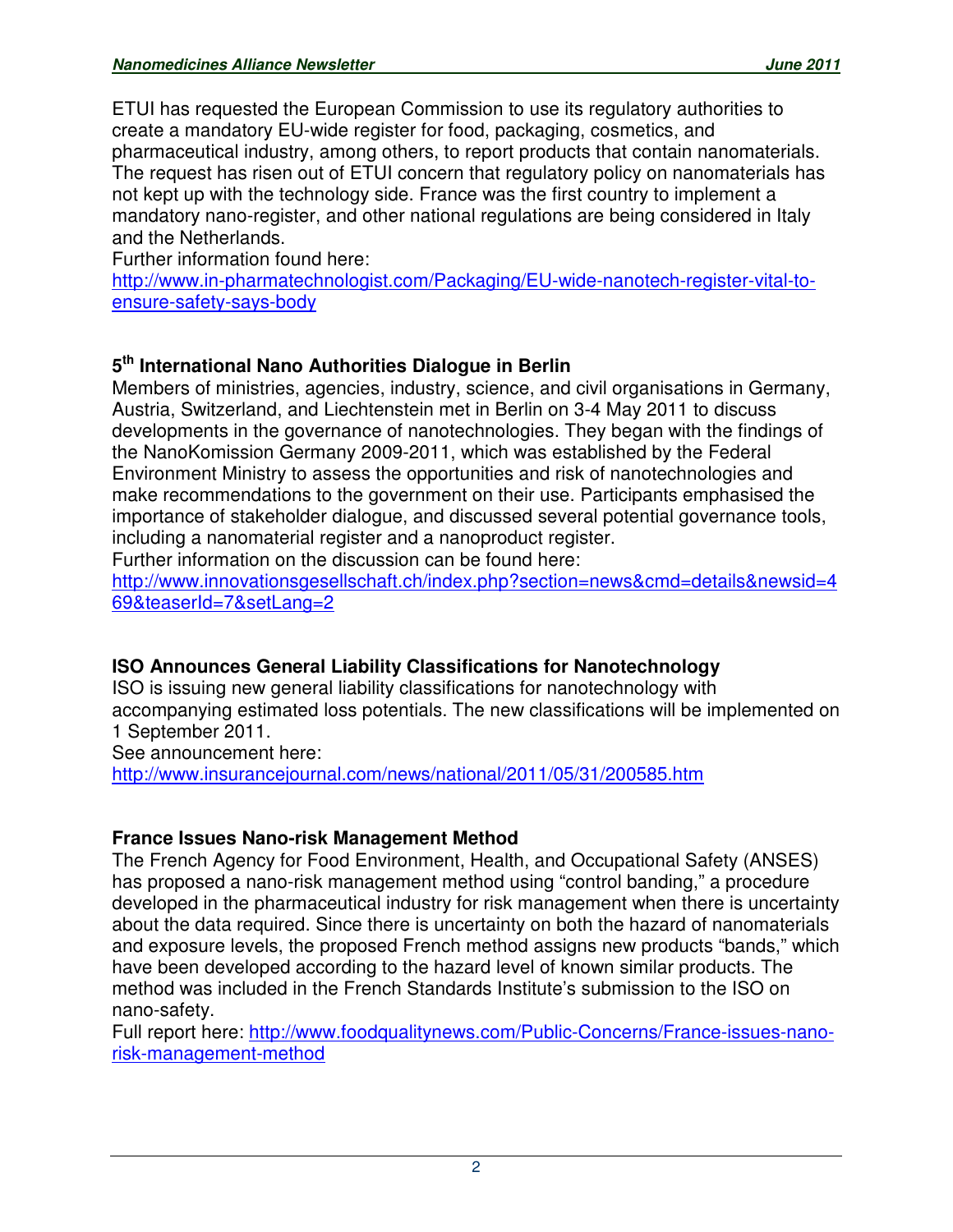ETUI has requested the European Commission to use its regulatory authorities to create a mandatory EU-wide register for food, packaging, cosmetics, and pharmaceutical industry, among others, to report products that contain nanomaterials. The request has risen out of ETUI concern that regulatory policy on nanomaterials has not kept up with the technology side. France was the first country to implement a mandatory nano-register, and other national regulations are being considered in Italy and the Netherlands.

Further information found here:

http://www.in-pharmatechnologist.com/Packaging/EU-wide-nanotech-register-vital-toensure-safety-says-body

# **5 th International Nano Authorities Dialogue in Berlin**

Members of ministries, agencies, industry, science, and civil organisations in Germany, Austria, Switzerland, and Liechtenstein met in Berlin on 3-4 May 2011 to discuss developments in the governance of nanotechnologies. They began with the findings of the NanoKomission Germany 2009-2011, which was established by the Federal Environment Ministry to assess the opportunities and risk of nanotechnologies and make recommendations to the government on their use. Participants emphasised the importance of stakeholder dialogue, and discussed several potential governance tools, including a nanomaterial register and a nanoproduct register.

Further information on the discussion can be found here:

http://www.innovationsgesellschaft.ch/index.php?section=news&cmd=details&newsid=4 69&teaserId=7&setLang=2

# **ISO Announces General Liability Classifications for Nanotechnology**

ISO is issuing new general liability classifications for nanotechnology with accompanying estimated loss potentials. The new classifications will be implemented on 1 September 2011.

See announcement here:

http://www.insurancejournal.com/news/national/2011/05/31/200585.htm

# **France Issues Nano-risk Management Method**

The French Agency for Food Environment, Health, and Occupational Safety (ANSES) has proposed a nano-risk management method using "control banding," a procedure developed in the pharmaceutical industry for risk management when there is uncertainty about the data required. Since there is uncertainty on both the hazard of nanomaterials and exposure levels, the proposed French method assigns new products "bands," which have been developed according to the hazard level of known similar products. The method was included in the French Standards Institute's submission to the ISO on nano-safety.

Full report here: http://www.foodqualitynews.com/Public-Concerns/France-issues-nanorisk-management-method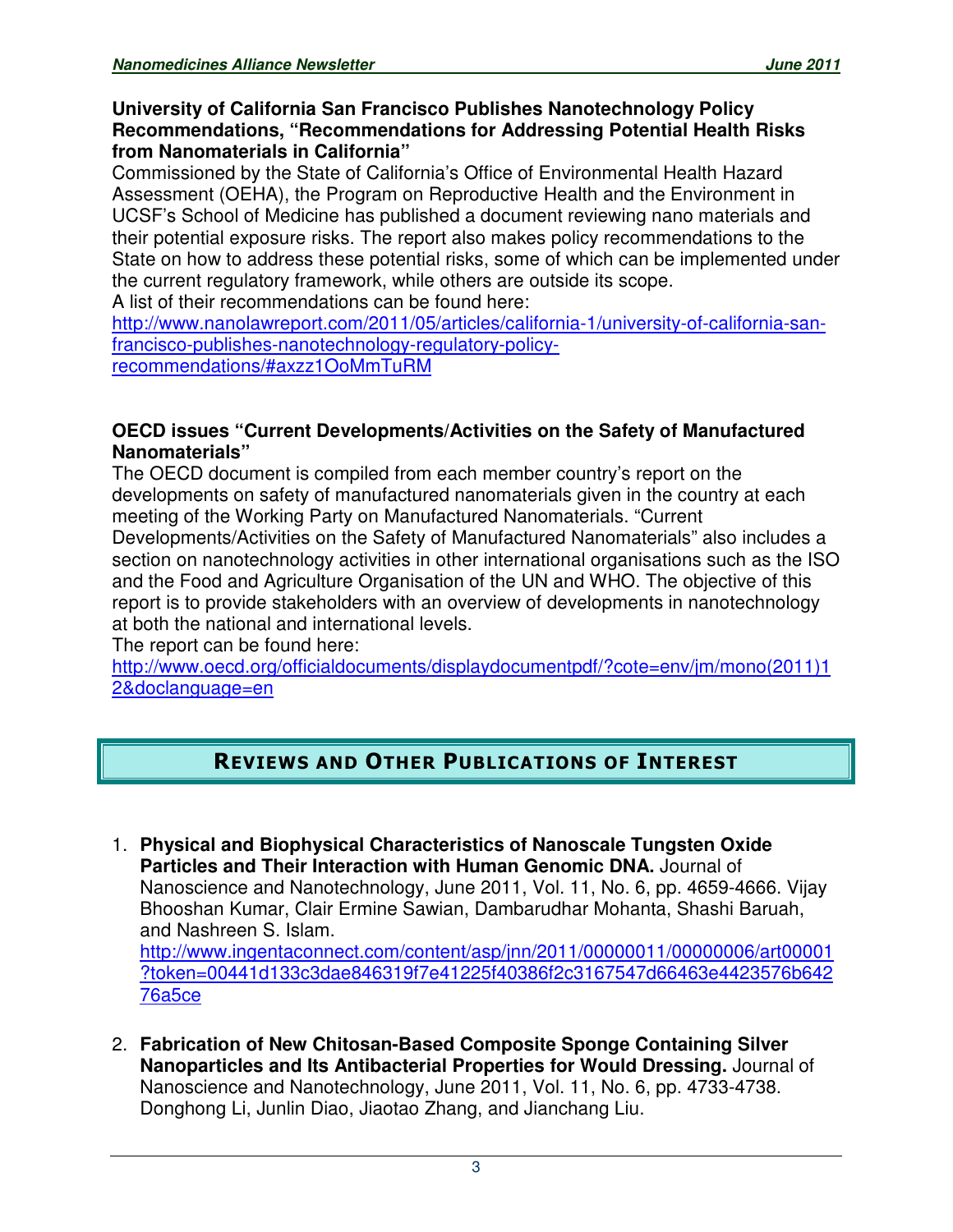#### **University of California San Francisco Publishes Nanotechnology Policy Recommendations, "Recommendations for Addressing Potential Health Risks from Nanomaterials in California"**

Commissioned by the State of California's Office of Environmental Health Hazard Assessment (OEHA), the Program on Reproductive Health and the Environment in UCSF's School of Medicine has published a document reviewing nano materials and their potential exposure risks. The report also makes policy recommendations to the State on how to address these potential risks, some of which can be implemented under the current regulatory framework, while others are outside its scope. A list of their recommendations can be found here:

http://www.nanolawreport.com/2011/05/articles/california-1/university-of-california-sanfrancisco-publishes-nanotechnology-regulatory-policyrecommendations/#axzz1OoMmTuRM

### **OECD issues "Current Developments/Activities on the Safety of Manufactured Nanomaterials"**

The OECD document is compiled from each member country's report on the developments on safety of manufactured nanomaterials given in the country at each meeting of the Working Party on Manufactured Nanomaterials. "Current Developments/Activities on the Safety of Manufactured Nanomaterials" also includes a section on nanotechnology activities in other international organisations such as the ISO and the Food and Agriculture Organisation of the UN and WHO. The objective of this report is to provide stakeholders with an overview of developments in nanotechnology at both the national and international levels.

The report can be found here:

http://www.oecd.org/officialdocuments/displaydocumentpdf/?cote=env/jm/mono(2011)1 2&doclanguage=en

# REVIEWS AND OTHER PUBLICATIONS OF INTEREST

- 1. **Physical and Biophysical Characteristics of Nanoscale Tungsten Oxide Particles and Their Interaction with Human Genomic DNA.** Journal of Nanoscience and Nanotechnology, June 2011, Vol. 11, No. 6, pp. 4659-4666. Vijay Bhooshan Kumar, Clair Ermine Sawian, Dambarudhar Mohanta, Shashi Baruah, and Nashreen S. Islam. http://www.ingentaconnect.com/content/asp/jnn/2011/00000011/00000006/art00001 ?token=00441d133c3dae846319f7e41225f40386f2c3167547d66463e4423576b642 76a5ce
- 2. **Fabrication of New Chitosan-Based Composite Sponge Containing Silver Nanoparticles and Its Antibacterial Properties for Would Dressing.** Journal of Nanoscience and Nanotechnology, June 2011, Vol. 11, No. 6, pp. 4733-4738. Donghong Li, Junlin Diao, Jiaotao Zhang, and Jianchang Liu.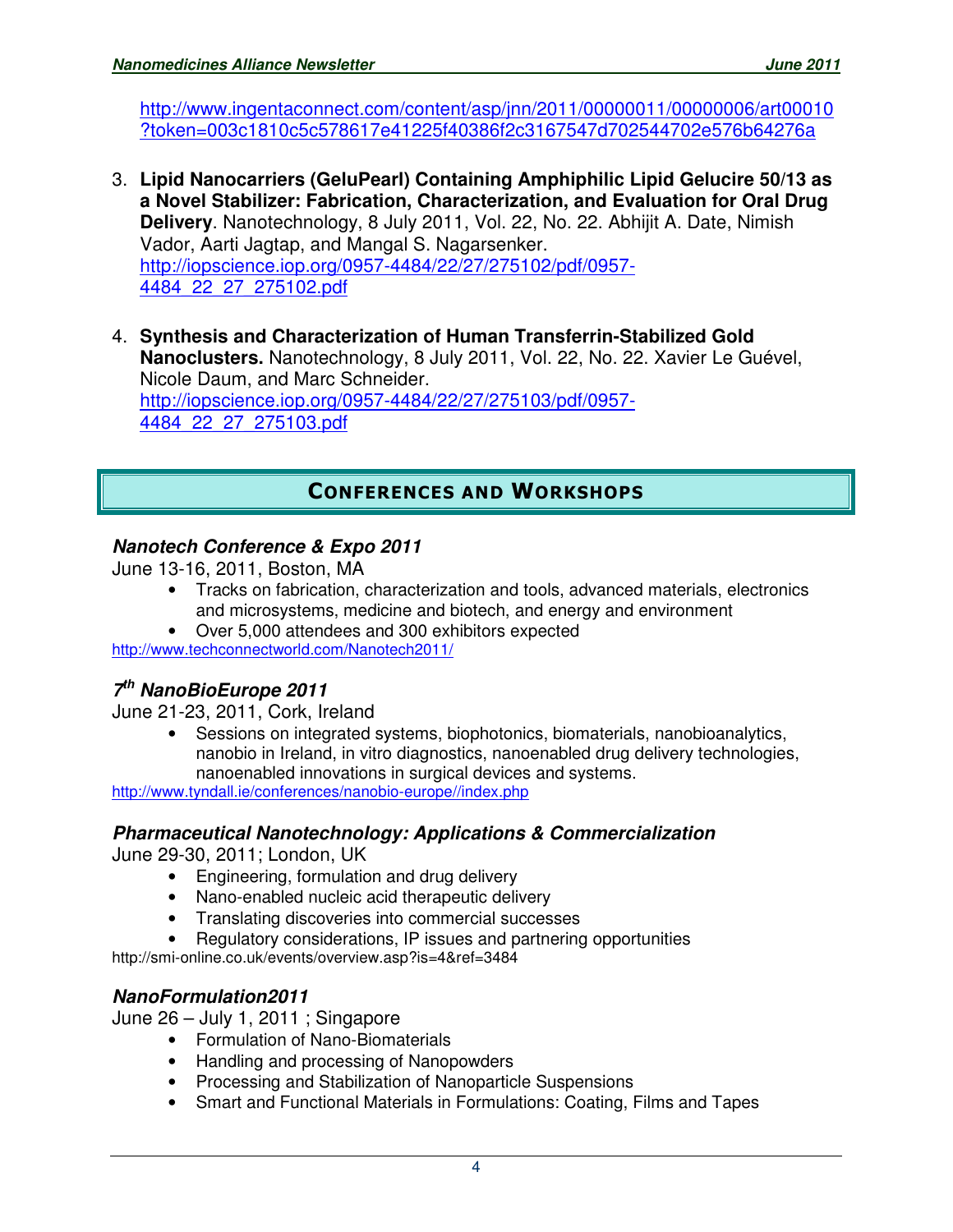http://www.ingentaconnect.com/content/asp/jnn/2011/00000011/00000006/art00010 ?token=003c1810c5c578617e41225f40386f2c3167547d702544702e576b64276a

- 3. **Lipid Nanocarriers (GeluPearl) Containing Amphiphilic Lipid Gelucire 50/13 as a Novel Stabilizer: Fabrication, Characterization, and Evaluation for Oral Drug Delivery**. Nanotechnology, 8 July 2011, Vol. 22, No. 22. Abhijit A. Date, Nimish Vador, Aarti Jagtap, and Mangal S. Nagarsenker. http://iopscience.iop.org/0957-4484/22/27/275102/pdf/0957- 4484\_22\_27\_275102.pdf
- 4. **Synthesis and Characterization of Human Transferrin-Stabilized Gold Nanoclusters.** Nanotechnology, 8 July 2011, Vol. 22, No. 22. Xavier Le Guével, Nicole Daum, and Marc Schneider. http://iopscience.iop.org/0957-4484/22/27/275103/pdf/0957- 4484\_22\_27\_275103.pdf

# CONFERENCES AND WORKSHOPS

### **Nanotech Conference & Expo 2011**

June 13-16, 2011, Boston, MA

- Tracks on fabrication, characterization and tools, advanced materials, electronics and microsystems, medicine and biotech, and energy and environment
- Over 5,000 attendees and 300 exhibitors expected

http://www.techconnectworld.com/Nanotech2011/

### **7 th NanoBioEurope 2011**

June 21-23, 2011, Cork, Ireland

• Sessions on integrated systems, biophotonics, biomaterials, nanobioanalytics, nanobio in Ireland, in vitro diagnostics, nanoenabled drug delivery technologies, nanoenabled innovations in surgical devices and systems.

http://www.tyndall.ie/conferences/nanobio-europe//index.php

#### **Pharmaceutical Nanotechnology: Applications & Commercialization**

June 29-30, 2011; London, UK

- Engineering, formulation and drug delivery
- Nano-enabled nucleic acid therapeutic delivery
- Translating discoveries into commercial successes
- Regulatory considerations, IP issues and partnering opportunities

http://smi-online.co.uk/events/overview.asp?is=4&ref=3484

### **NanoFormulation2011**

June 26 – July 1, 2011 ; Singapore

- Formulation of Nano-Biomaterials
- Handling and processing of Nanopowders
- Processing and Stabilization of Nanoparticle Suspensions
- Smart and Functional Materials in Formulations: Coating, Films and Tapes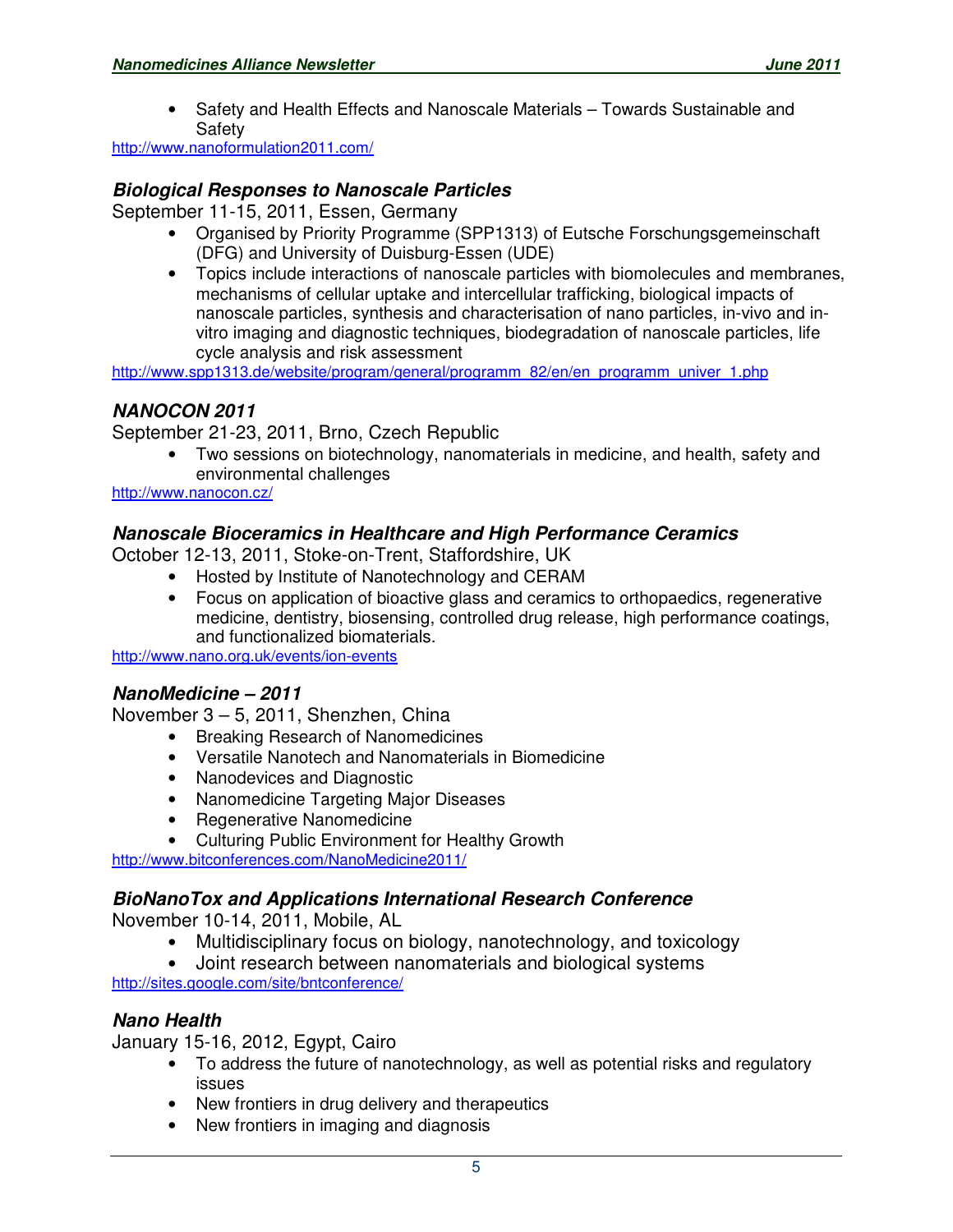• Safety and Health Effects and Nanoscale Materials – Towards Sustainable and Safety

http://www.nanoformulation2011.com/

#### **Biological Responses to Nanoscale Particles**

September 11-15, 2011, Essen, Germany

- Organised by Priority Programme (SPP1313) of Eutsche Forschungsgemeinschaft (DFG) and University of Duisburg-Essen (UDE)
- Topics include interactions of nanoscale particles with biomolecules and membranes, mechanisms of cellular uptake and intercellular trafficking, biological impacts of nanoscale particles, synthesis and characterisation of nano particles, in-vivo and invitro imaging and diagnostic techniques, biodegradation of nanoscale particles, life cycle analysis and risk assessment

http://www.spp1313.de/website/program/general/programm\_82/en/en\_programm\_univer\_1.php

#### **NANOCON 2011**

September 21-23, 2011, Brno, Czech Republic

• Two sessions on biotechnology, nanomaterials in medicine, and health, safety and environmental challenges

http://www.nanocon.cz/

#### **Nanoscale Bioceramics in Healthcare and High Performance Ceramics**

October 12-13, 2011, Stoke-on-Trent, Staffordshire, UK

- Hosted by Institute of Nanotechnology and CERAM
- Focus on application of bioactive glass and ceramics to orthopaedics, regenerative medicine, dentistry, biosensing, controlled drug release, high performance coatings, and functionalized biomaterials.

http://www.nano.org.uk/events/ion-events

#### **NanoMedicine – 2011**

November 3 – 5, 2011, Shenzhen, China

- Breaking Research of Nanomedicines
- Versatile Nanotech and Nanomaterials in Biomedicine
- Nanodevices and Diagnostic
- Nanomedicine Targeting Major Diseases
- Regenerative Nanomedicine
- Culturing Public Environment for Healthy Growth

http://www.bitconferences.com/NanoMedicine2011/

#### **BioNanoTox and Applications International Research Conference**

November 10-14, 2011, Mobile, AL

- Multidisciplinary focus on biology, nanotechnology, and toxicology
- Joint research between nanomaterials and biological systems

http://sites.google.com/site/bntconference/

### **Nano Health**

January 15-16, 2012, Egypt, Cairo

- To address the future of nanotechnology, as well as potential risks and regulatory issues
- New frontiers in drug delivery and therapeutics
- New frontiers in imaging and diagnosis